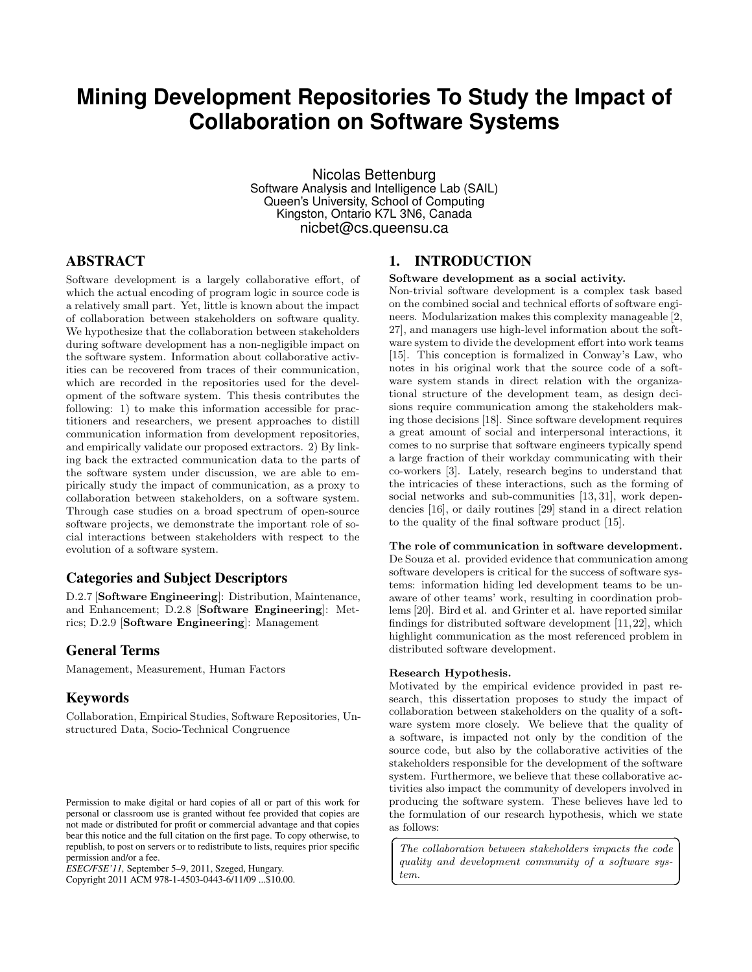# **Mining Development Repositories To Study the Impact of Collaboration on Software Systems**

Nicolas Bettenburg Software Analysis and Intelligence Lab (SAIL) Queen's University, School of Computing Kingston, Ontario K7L 3N6, Canada nicbet@cs.queensu.ca

# ABSTRACT

Software development is a largely collaborative effort, of which the actual encoding of program logic in source code is a relatively small part. Yet, little is known about the impact of collaboration between stakeholders on software quality. We hypothesize that the collaboration between stakeholders during software development has a non-negligible impact on the software system. Information about collaborative activities can be recovered from traces of their communication, which are recorded in the repositories used for the development of the software system. This thesis contributes the following: 1) to make this information accessible for practitioners and researchers, we present approaches to distill communication information from development repositories, and empirically validate our proposed extractors. 2) By linking back the extracted communication data to the parts of the software system under discussion, we are able to empirically study the impact of communication, as a proxy to collaboration between stakeholders, on a software system. Through case studies on a broad spectrum of open-source software projects, we demonstrate the important role of social interactions between stakeholders with respect to the evolution of a software system.

### Categories and Subject Descriptors

D.2.7 [Software Engineering]: Distribution, Maintenance, and Enhancement; D.2.8 [Software Engineering]: Metrics; D.2.9 [Software Engineering]: Management

# General Terms

Management, Measurement, Human Factors

### Keywords

Collaboration, Empirical Studies, Software Repositories, Unstructured Data, Socio-Technical Congruence

Copyright 2011 ACM 978-1-4503-0443-6/11/09 ...\$10.00.

### 1. INTRODUCTION

#### Software development as a social activity.

Non-trivial software development is a complex task based on the combined social and technical efforts of software engineers. Modularization makes this complexity manageable [2, 27], and managers use high-level information about the software system to divide the development effort into work teams [15]. This conception is formalized in Conway's Law, who notes in his original work that the source code of a software system stands in direct relation with the organizational structure of the development team, as design decisions require communication among the stakeholders making those decisions [18]. Since software development requires a great amount of social and interpersonal interactions, it comes to no surprise that software engineers typically spend a large fraction of their workday communicating with their co-workers [3]. Lately, research begins to understand that the intricacies of these interactions, such as the forming of social networks and sub-communities [13, 31], work dependencies [16], or daily routines [29] stand in a direct relation to the quality of the final software product [15].

#### The role of communication in software development.

De Souza et al. provided evidence that communication among software developers is critical for the success of software systems: information hiding led development teams to be unaware of other teams' work, resulting in coordination problems [20]. Bird et al. and Grinter et al. have reported similar findings for distributed software development [11,22], which highlight communication as the most referenced problem in distributed software development.

#### Research Hypothesis.

Motivated by the empirical evidence provided in past research, this dissertation proposes to study the impact of collaboration between stakeholders on the quality of a software system more closely. We believe that the quality of a software, is impacted not only by the condition of the source code, but also by the collaborative activities of the stakeholders responsible for the development of the software system. Furthermore, we believe that these collaborative activities also impact the community of developers involved in producing the software system. These believes have led to the formulation of our research hypothesis, which we state as follows:

 $\overline{a}$ ✝ The collaboration between stakeholders impacts the code quality and development community of a software system.

☎

✆

Permission to make digital or hard copies of all or part of this work for personal or classroom use is granted without fee provided that copies are not made or distributed for profit or commercial advantage and that copies bear this notice and the full citation on the first page. To copy otherwise, to republish, to post on servers or to redistribute to lists, requires prior specific permission and/or a fee.

*ESEC/FSE'11,* September 5–9, 2011, Szeged, Hungary.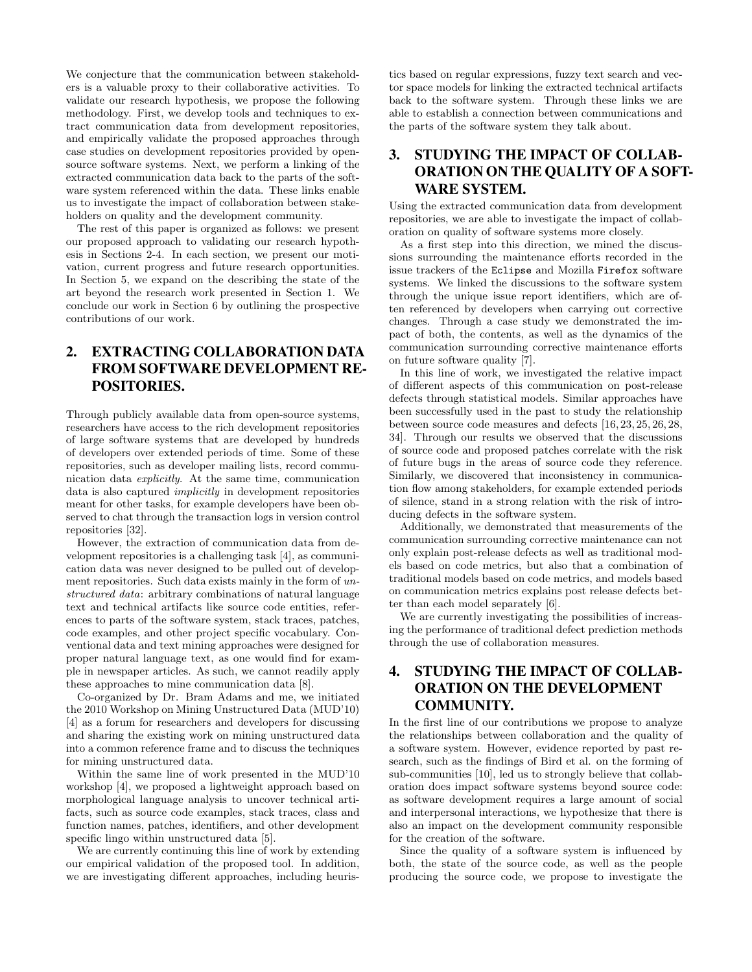We conjecture that the communication between stakeholders is a valuable proxy to their collaborative activities. To validate our research hypothesis, we propose the following methodology. First, we develop tools and techniques to extract communication data from development repositories, and empirically validate the proposed approaches through case studies on development repositories provided by opensource software systems. Next, we perform a linking of the extracted communication data back to the parts of the software system referenced within the data. These links enable us to investigate the impact of collaboration between stakeholders on quality and the development community.

The rest of this paper is organized as follows: we present our proposed approach to validating our research hypothesis in Sections 2-4. In each section, we present our motivation, current progress and future research opportunities. In Section 5, we expand on the describing the state of the art beyond the research work presented in Section 1. We conclude our work in Section 6 by outlining the prospective contributions of our work.

# 2. EXTRACTING COLLABORATION DATA FROM SOFTWARE DEVELOPMENT RE-POSITORIES.

Through publicly available data from open-source systems, researchers have access to the rich development repositories of large software systems that are developed by hundreds of developers over extended periods of time. Some of these repositories, such as developer mailing lists, record communication data explicitly. At the same time, communication data is also captured implicitly in development repositories meant for other tasks, for example developers have been observed to chat through the transaction logs in version control repositories [32].

However, the extraction of communication data from development repositories is a challenging task [4], as communication data was never designed to be pulled out of development repositories. Such data exists mainly in the form of unstructured data: arbitrary combinations of natural language text and technical artifacts like source code entities, references to parts of the software system, stack traces, patches, code examples, and other project specific vocabulary. Conventional data and text mining approaches were designed for proper natural language text, as one would find for example in newspaper articles. As such, we cannot readily apply these approaches to mine communication data [8].

Co-organized by Dr. Bram Adams and me, we initiated the 2010 Workshop on Mining Unstructured Data (MUD'10) [4] as a forum for researchers and developers for discussing and sharing the existing work on mining unstructured data into a common reference frame and to discuss the techniques for mining unstructured data.

Within the same line of work presented in the MUD'10 workshop [4], we proposed a lightweight approach based on morphological language analysis to uncover technical artifacts, such as source code examples, stack traces, class and function names, patches, identifiers, and other development specific lingo within unstructured data [5].

We are currently continuing this line of work by extending our empirical validation of the proposed tool. In addition, we are investigating different approaches, including heuristics based on regular expressions, fuzzy text search and vector space models for linking the extracted technical artifacts back to the software system. Through these links we are able to establish a connection between communications and the parts of the software system they talk about.

# 3. STUDYING THE IMPACT OF COLLAB-ORATION ON THE QUALITY OF A SOFT-WARE SYSTEM.

Using the extracted communication data from development repositories, we are able to investigate the impact of collaboration on quality of software systems more closely.

As a first step into this direction, we mined the discussions surrounding the maintenance efforts recorded in the issue trackers of the Eclipse and Mozilla Firefox software systems. We linked the discussions to the software system through the unique issue report identifiers, which are often referenced by developers when carrying out corrective changes. Through a case study we demonstrated the impact of both, the contents, as well as the dynamics of the communication surrounding corrective maintenance efforts on future software quality [7].

In this line of work, we investigated the relative impact of different aspects of this communication on post-release defects through statistical models. Similar approaches have been successfully used in the past to study the relationship between source code measures and defects [16, 23, 25, 26, 28, 34]. Through our results we observed that the discussions of source code and proposed patches correlate with the risk of future bugs in the areas of source code they reference. Similarly, we discovered that inconsistency in communication flow among stakeholders, for example extended periods of silence, stand in a strong relation with the risk of introducing defects in the software system.

Additionally, we demonstrated that measurements of the communication surrounding corrective maintenance can not only explain post-release defects as well as traditional models based on code metrics, but also that a combination of traditional models based on code metrics, and models based on communication metrics explains post release defects better than each model separately [6].

We are currently investigating the possibilities of increasing the performance of traditional defect prediction methods through the use of collaboration measures.

# 4. STUDYING THE IMPACT OF COLLAB-ORATION ON THE DEVELOPMENT COMMUNITY.

In the first line of our contributions we propose to analyze the relationships between collaboration and the quality of a software system. However, evidence reported by past research, such as the findings of Bird et al. on the forming of sub-communities [10], led us to strongly believe that collaboration does impact software systems beyond source code: as software development requires a large amount of social and interpersonal interactions, we hypothesize that there is also an impact on the development community responsible for the creation of the software.

Since the quality of a software system is influenced by both, the state of the source code, as well as the people producing the source code, we propose to investigate the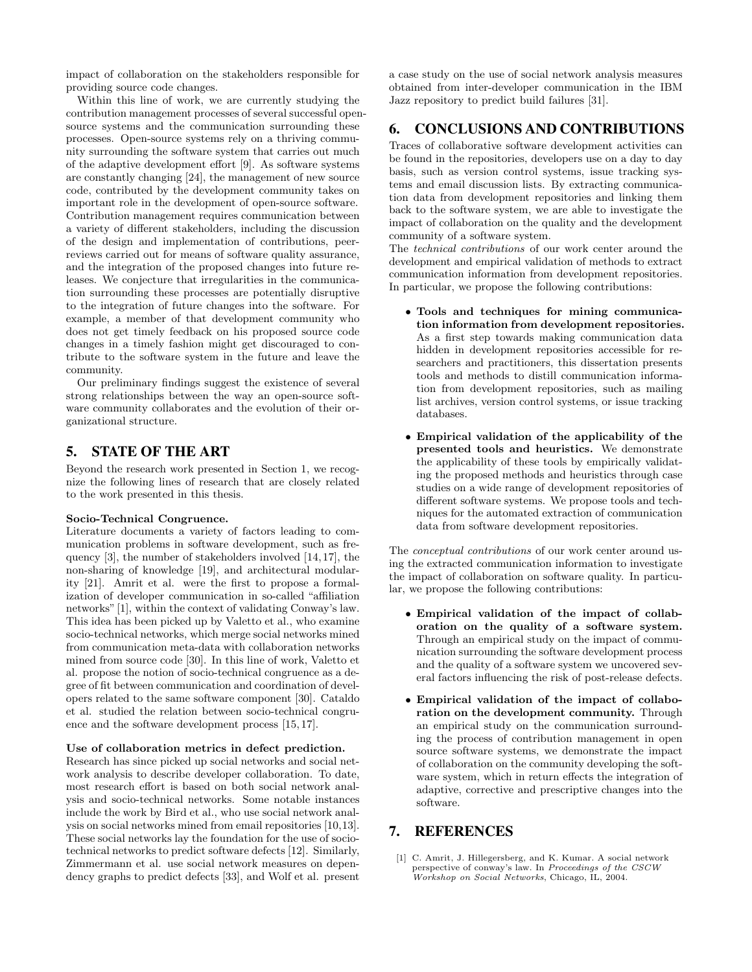impact of collaboration on the stakeholders responsible for providing source code changes.

Within this line of work, we are currently studying the contribution management processes of several successful opensource systems and the communication surrounding these processes. Open-source systems rely on a thriving community surrounding the software system that carries out much of the adaptive development effort [9]. As software systems are constantly changing [24], the management of new source code, contributed by the development community takes on important role in the development of open-source software. Contribution management requires communication between a variety of different stakeholders, including the discussion of the design and implementation of contributions, peerreviews carried out for means of software quality assurance, and the integration of the proposed changes into future releases. We conjecture that irregularities in the communication surrounding these processes are potentially disruptive to the integration of future changes into the software. For example, a member of that development community who does not get timely feedback on his proposed source code changes in a timely fashion might get discouraged to contribute to the software system in the future and leave the community.

Our preliminary findings suggest the existence of several strong relationships between the way an open-source software community collaborates and the evolution of their organizational structure.

# 5. STATE OF THE ART

Beyond the research work presented in Section 1, we recognize the following lines of research that are closely related to the work presented in this thesis.

#### Socio-Technical Congruence.

Literature documents a variety of factors leading to communication problems in software development, such as frequency [3], the number of stakeholders involved [14, 17], the non-sharing of knowledge [19], and architectural modularity [21]. Amrit et al. were the first to propose a formalization of developer communication in so-called "affiliation networks"[1], within the context of validating Conway's law. This idea has been picked up by Valetto et al., who examine socio-technical networks, which merge social networks mined from communication meta-data with collaboration networks mined from source code [30]. In this line of work, Valetto et al. propose the notion of socio-technical congruence as a degree of fit between communication and coordination of developers related to the same software component [30]. Cataldo et al. studied the relation between socio-technical congruence and the software development process [15, 17].

### Use of collaboration metrics in defect prediction.

Research has since picked up social networks and social network analysis to describe developer collaboration. To date, most research effort is based on both social network analysis and socio-technical networks. Some notable instances include the work by Bird et al., who use social network analysis on social networks mined from email repositories [10,13]. These social networks lay the foundation for the use of sociotechnical networks to predict software defects [12]. Similarly, Zimmermann et al. use social network measures on dependency graphs to predict defects [33], and Wolf et al. present a case study on the use of social network analysis measures obtained from inter-developer communication in the IBM Jazz repository to predict build failures [31].

# 6. CONCLUSIONS AND CONTRIBUTIONS

Traces of collaborative software development activities can be found in the repositories, developers use on a day to day basis, such as version control systems, issue tracking systems and email discussion lists. By extracting communication data from development repositories and linking them back to the software system, we are able to investigate the impact of collaboration on the quality and the development community of a software system.

The technical contributions of our work center around the development and empirical validation of methods to extract communication information from development repositories. In particular, we propose the following contributions:

- Tools and techniques for mining communication information from development repositories. As a first step towards making communication data hidden in development repositories accessible for researchers and practitioners, this dissertation presents tools and methods to distill communication information from development repositories, such as mailing list archives, version control systems, or issue tracking databases.
- Empirical validation of the applicability of the presented tools and heuristics. We demonstrate the applicability of these tools by empirically validating the proposed methods and heuristics through case studies on a wide range of development repositories of different software systems. We propose tools and techniques for the automated extraction of communication data from software development repositories.

The conceptual contributions of our work center around using the extracted communication information to investigate the impact of collaboration on software quality. In particular, we propose the following contributions:

- Empirical validation of the impact of collaboration on the quality of a software system. Through an empirical study on the impact of communication surrounding the software development process and the quality of a software system we uncovered several factors influencing the risk of post-release defects.
- Empirical validation of the impact of collaboration on the development community. Through an empirical study on the communication surrounding the process of contribution management in open source software systems, we demonstrate the impact of collaboration on the community developing the software system, which in return effects the integration of adaptive, corrective and prescriptive changes into the software.

# 7. REFERENCES

[1] C. Amrit, J. Hillegersberg, and K. Kumar. A social network perspective of conway's law. In Proceedings of the CSCW Workshop on Social Networks, Chicago, IL, 2004.